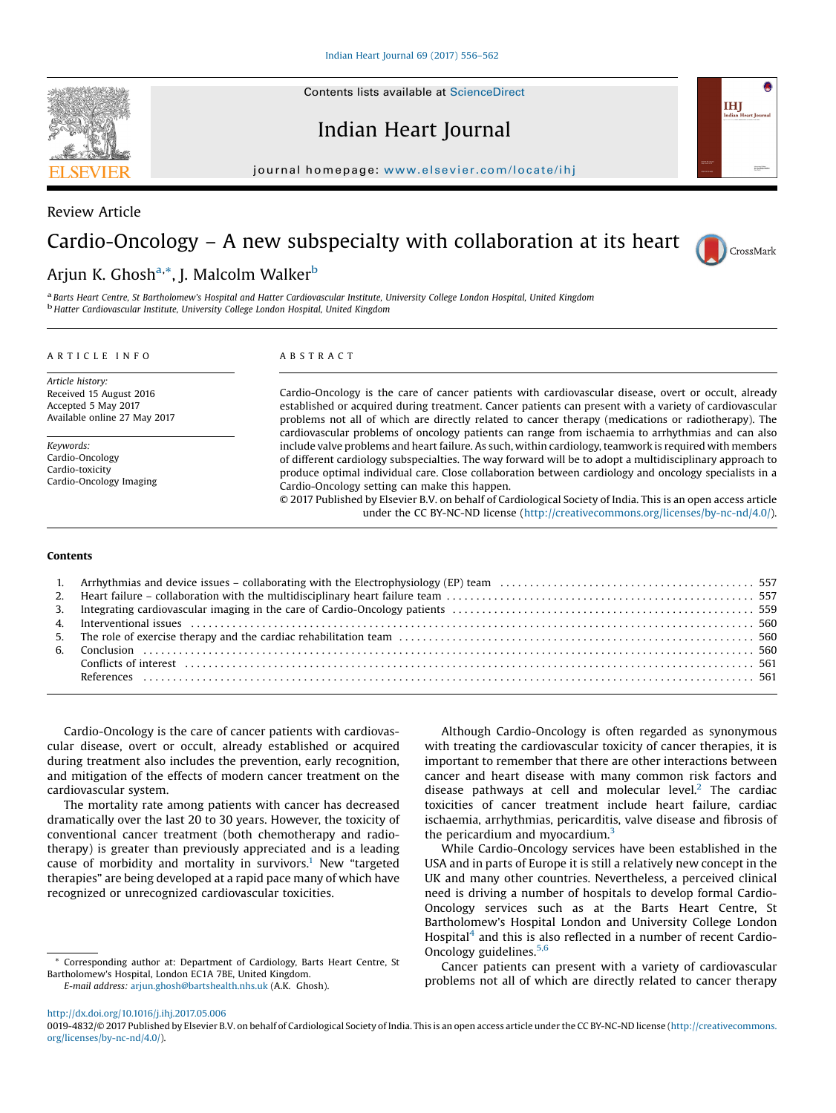Indian Heart Journal

journal homepage: <www.elsevier.com/locate/ihj>/ $\alpha$ 



# Cardio-Oncology – A new subspecialty with collaboration at its heart



IHI

## Arjun K. Ghosh<sup>a,</sup>\*, J. Malcolm Walker<sup>b</sup>

a Barts Heart Centre, St Bartholomew's Hospital and Hatter Cardiovascular Institute, University College London Hospital, United Kingdom **b** Hatter Cardiovascular Institute, University College London Hospital, United Kingdom

#### ARTICLE INFO

Article history: Received 15 August 2016 Accepted 5 May 2017 Available online 27 May 2017

Keywords: Cardio-Oncology Cardio-toxicity Cardio-Oncology Imaging

#### ABSTRACT

Cardio-Oncology is the care of cancer patients with cardiovascular disease, overt or occult, already established or acquired during treatment. Cancer patients can present with a variety of cardiovascular problems not all of which are directly related to cancer therapy (medications or radiotherapy). The cardiovascular problems of oncology patients can range from ischaemia to arrhythmias and can also include valve problems and heart failure. As such, within cardiology, teamwork is required with members of different cardiology subspecialties. The way forward will be to adopt a multidisciplinary approach to produce optimal individual care. Close collaboration between cardiology and oncology specialists in a Cardio-Oncology setting can make this happen.

© 2017 Published by Elsevier B.V. on behalf of Cardiological Society of India. This is an open access article under the CC BY-NC-ND license [\(http://creativecommons.org/licenses/by-nc-nd/4.0/](http://creativecommons.org/licenses/by-nc-nd/4.0/)).

#### Contents

Cardio-Oncology is the care of cancer patients with cardiovascular disease, overt or occult, already established or acquired during treatment also includes the prevention, early recognition, and mitigation of the effects of modern cancer treatment on the cardiovascular system.

The mortality rate among patients with cancer has decreased dramatically over the last 20 to 30 years. However, the toxicity of conventional cancer treatment (both chemotherapy and radiotherapy) is greater than previously appreciated and is a leading cause of morbidity and mortality in survivors.<sup>1</sup> New "targeted therapies" are being developed at a rapid pace many of which have recognized or unrecognized cardiovascular toxicities.

\* Corresponding author at: Department of Cardiology, Barts Heart Centre, St Bartholomew's Hospital, London EC1A 7BE, United Kingdom. E-mail address: [arjun.ghosh@bartshealth.nhs.uk](undefined) (A.K. Ghosh).

Although Cardio-Oncology is often regarded as synonymous with treating the cardiovascular toxicity of cancer therapies, it is important to remember that there are other interactions between cancer and heart disease with many common risk factors and disease pathways at cell and molecular level. $2$  The cardiac toxicities of cancer treatment include heart failure, cardiac ischaemia, arrhythmias, pericarditis, valve disease and fibrosis of the pericardium and myocardium.<sup>3</sup>

While Cardio-Oncology services have been established in the USA and in parts of Europe it is still a relatively new concept in the UK and many other countries. Nevertheless, a perceived clinical need is driving a number of hospitals to develop formal Cardio-Oncology services such as at the Barts Heart Centre, St Bartholomew's Hospital London and University College London Hospital<sup>4</sup> and this is also reflected in a number of recent Cardio-Oncology guidelines.<sup>5,6</sup>

Cancer patients can present with a variety of cardiovascular problems not all of which are directly related to cancer therapy

<sup>0019-4832/© 2017</sup> Published by Elsevier B.V. on behalf of Cardiological Society of India. This is an open access article under the CC BY-NC-ND license [\(http://creativecommons.](http://creativecommons.org/licenses/by-nc-nd/4.0/) [org/licenses/by-nc-nd/4.0/](http://creativecommons.org/licenses/by-nc-nd/4.0/)).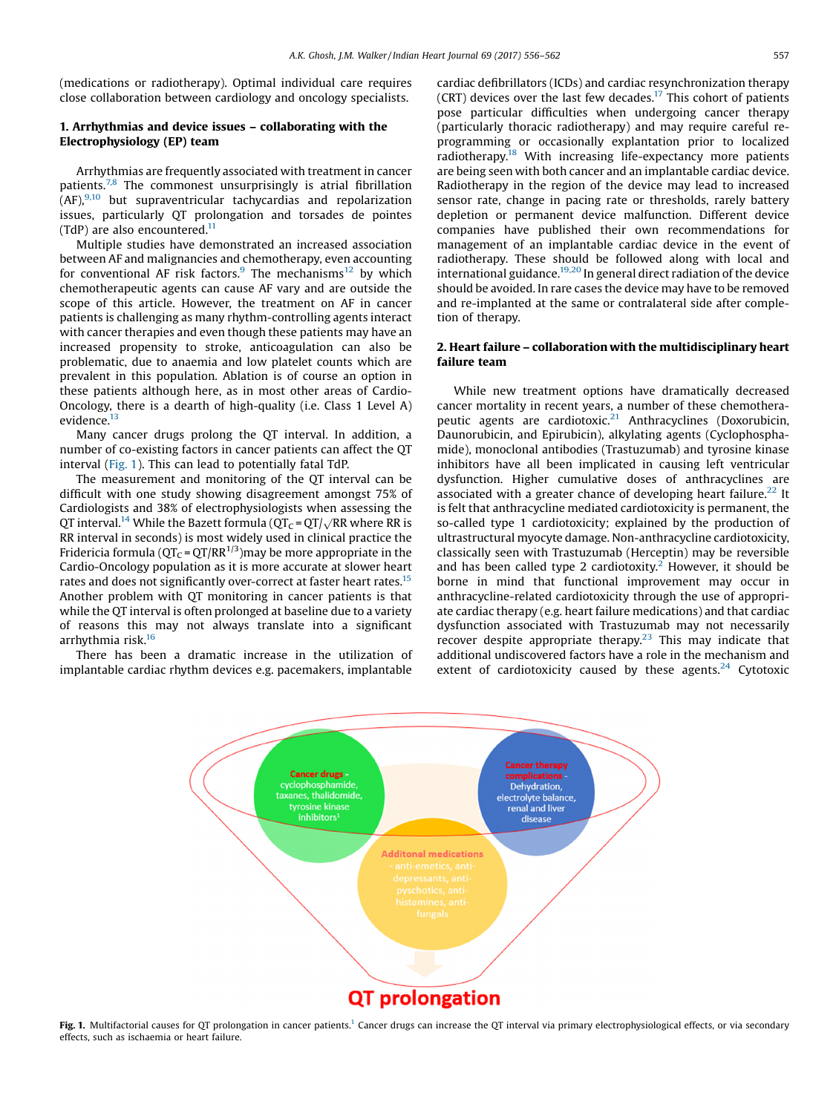(medications or radiotherapy). Optimal individual care requires close collaboration between cardiology and oncology specialists.

### 1. Arrhythmias and device issues – collaborating with the Electrophysiology (EP) team

Arrhythmias are frequently associated with treatment in cancer patients.7,8 The commonest unsurprisingly is atrial fibrillation  $(AF)$ ,  $9,10$  but supraventricular tachycardias and repolarization issues, particularly QT prolongation and torsades de pointes (TdP) are also encountered. $11$ 

Multiple studies have demonstrated an increased association between AF and malignancies and chemotherapy, even accounting for conventional AF risk factors. $9$  The mechanisms<sup>12</sup> by which chemotherapeutic agents can cause AF vary and are outside the scope of this article. However, the treatment on AF in cancer patients is challenging as many rhythm-controlling agents interact with cancer therapies and even though these patients may have an increased propensity to stroke, anticoagulation can also be problematic, due to anaemia and low platelet counts which are prevalent in this population. Ablation is of course an option in these patients although here, as in most other areas of Cardio-Oncology, there is a dearth of high-quality (i.e. Class 1 Level A) evidence.<sup>13</sup>

Many cancer drugs prolong the QT interval. In addition, a number of co-existing factors in cancer patients can affect the QT interval (Fig. 1). This can lead to potentially fatal TdP.

The measurement and monitoring of the QT interval can be difficult with one study showing disagreement amongst 75% of Cardiologists and 38% of electrophysiologists when assessing the QT interval.<sup>14</sup> While the Bazett formula ( $QT<sub>C</sub> = QT/<sub>N</sub>RR$  where RR is RR interval in seconds) is most widely used in clinical practice the Fridericia formula ( $QT<sub>C</sub> = QT/RR<sup>1/3</sup>$ ) may be more appropriate in the Cardio-Oncology population as it is more accurate at slower heart rates and does not significantly over-correct at faster heart rates.<sup>15</sup> Another problem with QT monitoring in cancer patients is that while the QT interval is often prolonged at baseline due to a variety of reasons this may not always translate into a significant arrhythmia risk.16

There has been a dramatic increase in the utilization of implantable cardiac rhythm devices e.g. pacemakers, implantable

cardiac defibrillators (ICDs) and cardiac resynchronization therapy (CRT) devices over the last few decades.<sup>17</sup> This cohort of patients pose particular difficulties when undergoing cancer therapy (particularly thoracic radiotherapy) and may require careful reprogramming or occasionally explantation prior to localized radiotherapy.<sup>18</sup> With increasing life-expectancy more patients are being seen with both cancer and an implantable cardiac device. Radiotherapy in the region of the device may lead to increased sensor rate, change in pacing rate or thresholds, rarely battery depletion or permanent device malfunction. Different device companies have published their own recommendations for management of an implantable cardiac device in the event of radiotherapy. These should be followed along with local and international guidance.19,20 In general direct radiation of the device should be avoided. In rare cases the device may have to be removed and re-implanted at the same or contralateral side after completion of therapy.

#### 2. Heart failure – collaboration with the multidisciplinary heart failure team

While new treatment options have dramatically decreased cancer mortality in recent years, a number of these chemotherapeutic agents are cardiotoxic. $21$  Anthracyclines (Doxorubicin, Daunorubicin, and Epirubicin), alkylating agents (Cyclophosphamide), monoclonal antibodies (Trastuzumab) and tyrosine kinase inhibitors have all been implicated in causing left ventricular dysfunction. Higher cumulative doses of anthracyclines are associated with a greater chance of developing heart failure.<sup>22</sup> It is felt that anthracycline mediated cardiotoxicity is permanent, the so-called type 1 cardiotoxicity; explained by the production of ultrastructural myocyte damage. Non-anthracycline cardiotoxicity, classically seen with Trastuzumab (Herceptin) may be reversible and has been called type 2 cardiotoxity.<sup>2</sup> However, it should be borne in mind that functional improvement may occur in anthracycline-related cardiotoxicity through the use of appropriate cardiac therapy (e.g. heart failure medications) and that cardiac dysfunction associated with Trastuzumab may not necessarily recover despite appropriate therapy.<sup>23</sup> This may indicate that additional undiscovered factors have a role in the mechanism and extent of cardiotoxicity caused by these agents. $24$  Cytotoxic



Fig. 1. Multifactorial causes for QT prolongation in cancer patients.<sup>1</sup> Cancer drugs can increase the QT interval via primary electrophysiological effects, or via secondary effects, such as ischaemia or heart failure.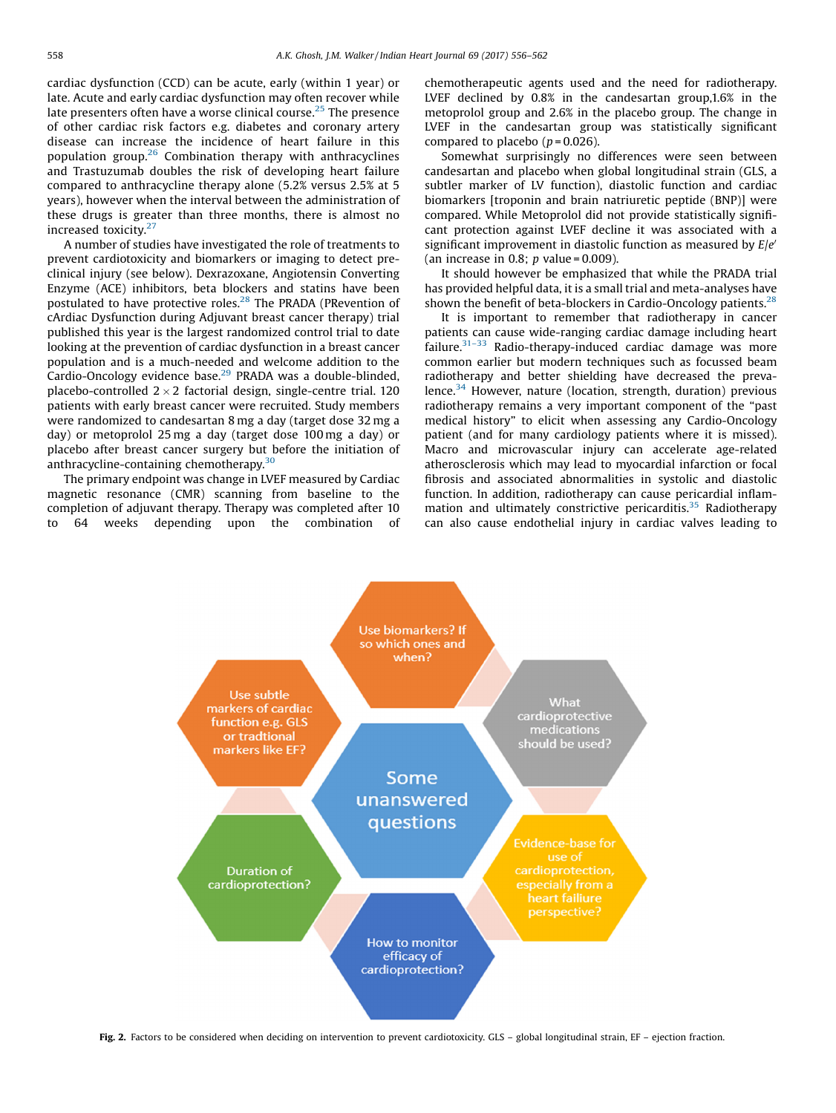<span id="page-2-0"></span>cardiac dysfunction (CCD) can be acute, early (within 1 year) or late. Acute and early cardiac dysfunction may often recover while late presenters often have a worse clinical course.<sup>25</sup> The presence of other cardiac risk factors e.g. diabetes and coronary artery disease can increase the incidence of heart failure in this population group.<sup>26</sup> Combination therapy with anthracyclines and Trastuzumab doubles the risk of developing heart failure compared to anthracycline therapy alone (5.2% versus 2.5% at 5 years), however when the interval between the administration of these drugs is greater than three months, there is almost no increased toxicity.<sup>27</sup>

A number of studies have investigated the role of treatments to prevent cardiotoxicity and biomarkers or imaging to detect preclinical injury (see below). Dexrazoxane, Angiotensin Converting Enzyme (ACE) inhibitors, beta blockers and statins have been postulated to have protective roles.28 The PRADA (PRevention of cArdiac Dysfunction during Adjuvant breast cancer therapy) trial published this year is the largest randomized control trial to date looking at the prevention of cardiac dysfunction in a breast cancer population and is a much-needed and welcome addition to the Cardio-Oncology evidence base.<sup>29</sup> PRADA was a double-blinded, placebo-controlled  $2 \times 2$  factorial design, single-centre trial. 120 patients with early breast cancer were recruited. Study members were randomized to candesartan 8 mg a day (target dose 32 mg a day) or metoprolol 25 mg a day (target dose 100 mg a day) or placebo after breast cancer surgery but before the initiation of anthracycline-containing chemotherapy.<sup>30</sup>

The primary endpoint was change in LVEF measured by Cardiac magnetic resonance (CMR) scanning from baseline to the completion of adjuvant therapy. Therapy was completed after 10 to 64 weeks depending upon the combination of chemotherapeutic agents used and the need for radiotherapy. LVEF declined by 0.8% in the candesartan group,1.6% in the metoprolol group and 2.6% in the placebo group. The change in LVEF in the candesartan group was statistically significant compared to placebo  $(p=0.026)$ .

Somewhat surprisingly no differences were seen between candesartan and placebo when global longitudinal strain (GLS, a subtler marker of LV function), diastolic function and cardiac biomarkers [troponin and brain natriuretic peptide (BNP)] were compared. While Metoprolol did not provide statistically significant protection against LVEF decline it was associated with a significant improvement in diastolic function as measured by  $E/e<sup>′</sup>$ (an increase in 0.8;  $p$  value = 0.009).

It should however be emphasized that while the PRADA trial has provided helpful data, it is a small trial and meta-analyses have shown the benefit of beta-blockers in Cardio-Oncology patients. $^{28}$ 

It is important to remember that radiotherapy in cancer patients can cause wide-ranging cardiac damage including heart  $f$ ailure. $31-33$  Radio-therapy-induced cardiac damage was more common earlier but modern techniques such as focussed beam radiotherapy and better shielding have decreased the prevalence.<sup>34</sup> However, nature (location, strength, duration) previous radiotherapy remains a very important component of the "past medical history" to elicit when assessing any Cardio-Oncology patient (and for many cardiology patients where it is missed). Macro and microvascular injury can accelerate age-related atherosclerosis which may lead to myocardial infarction or focal fibrosis and associated abnormalities in systolic and diastolic function. In addition, radiotherapy can cause pericardial inflammation and ultimately constrictive pericarditis. $35$  Radiotherapy can also cause endothelial injury in cardiac valves leading to



Fig. 2. Factors to be considered when deciding on intervention to prevent cardiotoxicity. GLS - global longitudinal strain, EF - ejection fraction.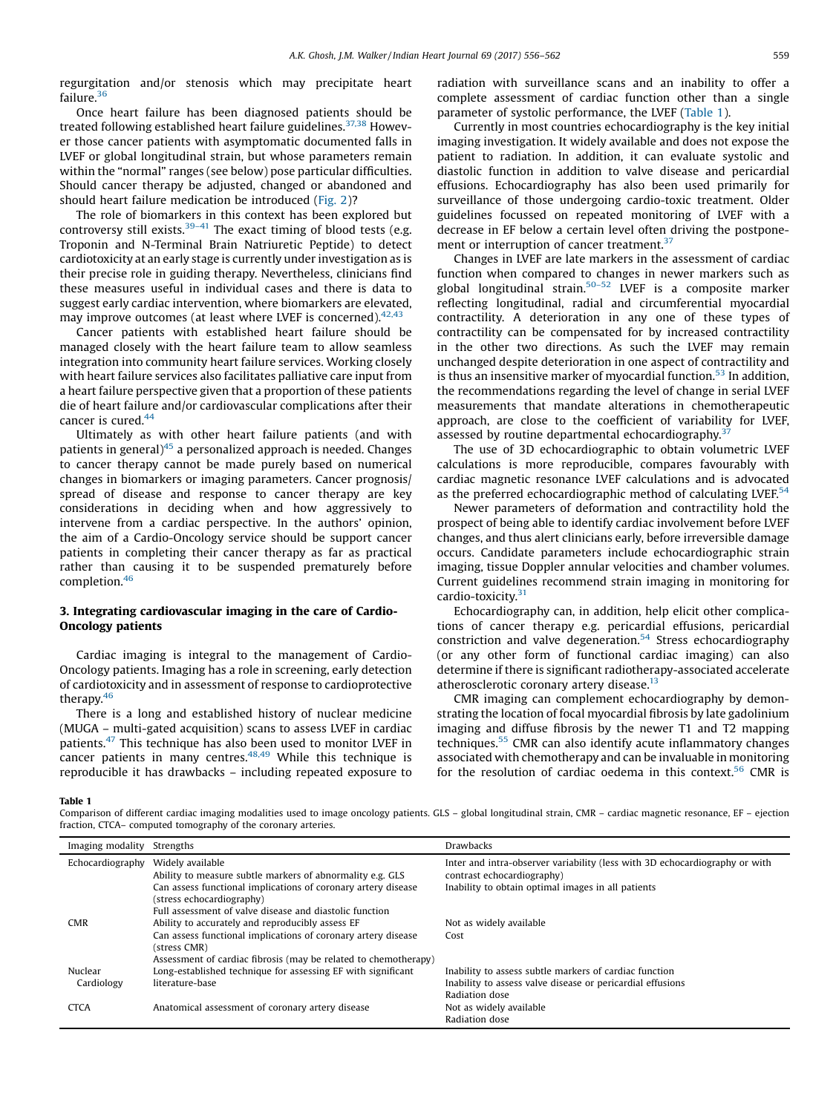regurgitation and/or stenosis which may precipitate heart failure.<sup>36</sup>

Once heart failure has been diagnosed patients should be treated following established heart failure guidelines.<sup>37,38</sup> However those cancer patients with asymptomatic documented falls in LVEF or global longitudinal strain, but whose parameters remain within the "normal" ranges (see below) pose particular difficulties. Should cancer therapy be adjusted, changed or abandoned and should heart failure medication be introduced ([Fig. 2\)](#page-2-0)?

The role of biomarkers in this context has been explored but controversy still exists.<sup>39–41</sup> The exact timing of blood tests (e.g. Troponin and N-Terminal Brain Natriuretic Peptide) to detect cardiotoxicity at an early stage is currently under investigation as is their precise role in guiding therapy. Nevertheless, clinicians find these measures useful in individual cases and there is data to suggest early cardiac intervention, where biomarkers are elevated, may improve outcomes (at least where LVEF is concerned).<sup>42,43</sup>

Cancer patients with established heart failure should be managed closely with the heart failure team to allow seamless integration into community heart failure services. Working closely with heart failure services also facilitates palliative care input from a heart failure perspective given that a proportion of these patients die of heart failure and/or cardiovascular complications after their cancer is cured.<sup>44</sup>

Ultimately as with other heart failure patients (and with patients in general)<sup>45</sup> a personalized approach is needed. Changes to cancer therapy cannot be made purely based on numerical changes in biomarkers or imaging parameters. Cancer prognosis/ spread of disease and response to cancer therapy are key considerations in deciding when and how aggressively to intervene from a cardiac perspective. In the authors' opinion, the aim of a Cardio-Oncology service should be support cancer patients in completing their cancer therapy as far as practical rather than causing it to be suspended prematurely before completion.<sup>46</sup>

#### 3. Integrating cardiovascular imaging in the care of Cardio-Oncology patients

Cardiac imaging is integral to the management of Cardio-Oncology patients. Imaging has a role in screening, early detection of cardiotoxicity and in assessment of response to cardioprotective therapy.46

There is a long and established history of nuclear medicine (MUGA – multi-gated acquisition) scans to assess LVEF in cardiac patients.<sup>47</sup> This technique has also been used to monitor LVEF in cancer patients in many centres.<sup>48,49</sup> While this technique is reproducible it has drawbacks – including repeated exposure to radiation with surveillance scans and an inability to offer a complete assessment of cardiac function other than a single parameter of systolic performance, the LVEF (Table 1).

Currently in most countries echocardiography is the key initial imaging investigation. It widely available and does not expose the patient to radiation. In addition, it can evaluate systolic and diastolic function in addition to valve disease and pericardial effusions. Echocardiography has also been used primarily for surveillance of those undergoing cardio-toxic treatment. Older guidelines focussed on repeated monitoring of LVEF with a decrease in EF below a certain level often driving the postponement or interruption of cancer treatment.<sup>37</sup>

Changes in LVEF are late markers in the assessment of cardiac function when compared to changes in newer markers such as global longitudinal strain.<sup>50–52</sup> LVEF is a composite marker reflecting longitudinal, radial and circumferential myocardial contractility. A deterioration in any one of these types of contractility can be compensated for by increased contractility in the other two directions. As such the LVEF may remain unchanged despite deterioration in one aspect of contractility and is thus an insensitive marker of myocardial function.<sup>53</sup> In addition, the recommendations regarding the level of change in serial LVEF measurements that mandate alterations in chemotherapeutic approach, are close to the coefficient of variability for LVEF, assessed by routine departmental echocardiography.<sup>37</sup>

The use of 3D echocardiographic to obtain volumetric LVEF calculations is more reproducible, compares favourably with cardiac magnetic resonance LVEF calculations and is advocated as the preferred echocardiographic method of calculating LVEF.<sup>54</sup>

Newer parameters of deformation and contractility hold the prospect of being able to identify cardiac involvement before LVEF changes, and thus alert clinicians early, before irreversible damage occurs. Candidate parameters include echocardiographic strain imaging, tissue Doppler annular velocities and chamber volumes. Current guidelines recommend strain imaging in monitoring for cardio-toxicity.<sup>31</sup>

Echocardiography can, in addition, help elicit other complications of cancer therapy e.g. pericardial effusions, pericardial constriction and valve degeneration.<sup>54</sup> Stress echocardiography (or any other form of functional cardiac imaging) can also determine if there is significant radiotherapy-associated accelerate atherosclerotic coronary artery disease.<sup>13</sup>

CMR imaging can complement echocardiography by demonstrating the location of focal myocardial fibrosis by late gadolinium imaging and diffuse fibrosis by the newer T1 and T2 mapping techniques.<sup>55</sup> CMR can also identify acute inflammatory changes associated with chemotherapy and can be invaluable in monitoring for the resolution of cardiac oedema in this context.<sup>56</sup> CMR is

Table 1

Comparison of different cardiac imaging modalities used to image oncology patients. GLS – global longitudinal strain, CMR – cardiac magnetic resonance, EF – ejection fraction, CTCA– computed tomography of the coronary arteries.

| Imaging modality | Strengths                                                       | <b>Drawbacks</b>                                                            |
|------------------|-----------------------------------------------------------------|-----------------------------------------------------------------------------|
| Echocardiography | Widely available                                                | Inter and intra-observer variability (less with 3D echocardiography or with |
|                  | Ability to measure subtle markers of abnormality e.g. GLS       | contrast echocardiography)                                                  |
|                  | Can assess functional implications of coronary artery disease   | Inability to obtain optimal images in all patients                          |
|                  | (stress echocardiography)                                       |                                                                             |
|                  | Full assessment of valve disease and diastolic function         |                                                                             |
| <b>CMR</b>       | Ability to accurately and reproducibly assess EF                | Not as widely available                                                     |
|                  | Can assess functional implications of coronary artery disease   | Cost                                                                        |
|                  | (stress CMR)                                                    |                                                                             |
|                  | Assessment of cardiac fibrosis (may be related to chemotherapy) |                                                                             |
| Nuclear          | Long-established technique for assessing EF with significant    | Inability to assess subtle markers of cardiac function                      |
| Cardiology       | literature-base                                                 | Inability to assess valve disease or pericardial effusions                  |
|                  |                                                                 | Radiation dose                                                              |
| <b>CTCA</b>      | Anatomical assessment of coronary artery disease                | Not as widely available                                                     |
|                  |                                                                 | Radiation dose                                                              |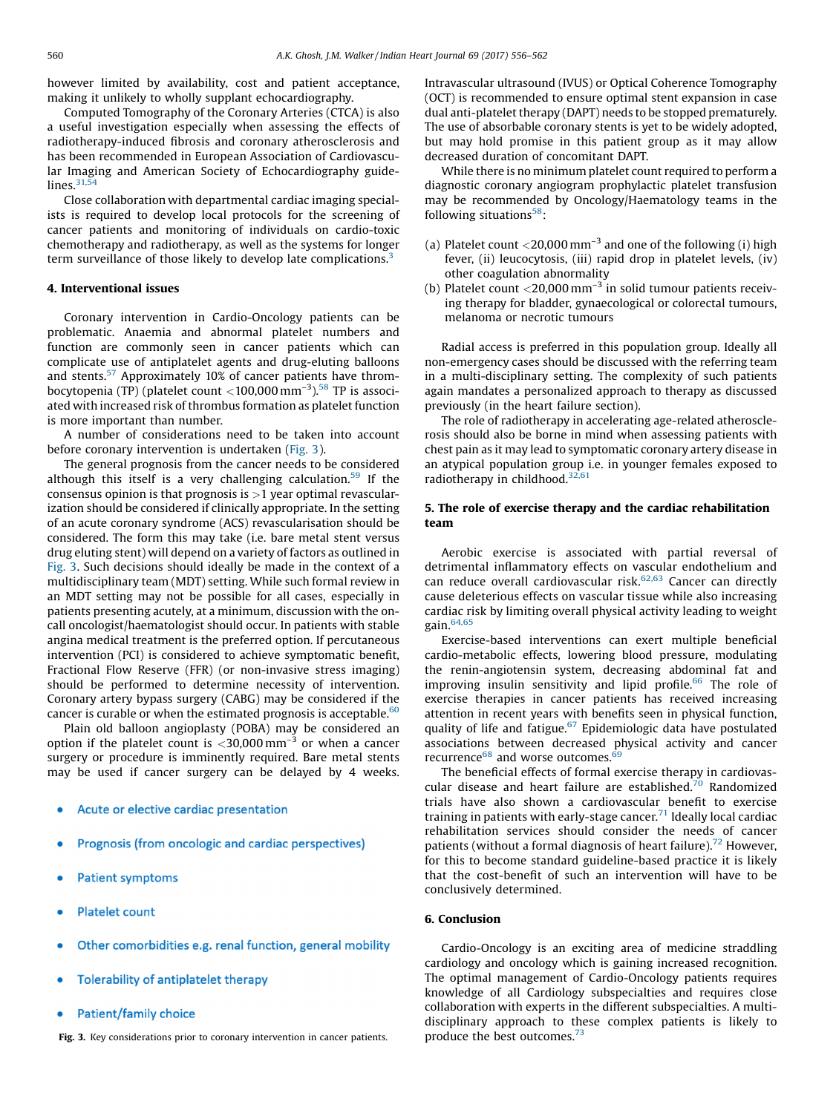however limited by availability, cost and patient acceptance, making it unlikely to wholly supplant echocardiography.

Computed Tomography of the Coronary Arteries (CTCA) is also a useful investigation especially when assessing the effects of radiotherapy-induced fibrosis and coronary atherosclerosis and has been recommended in European Association of Cardiovascular Imaging and American Society of Echocardiography guidelines. $31,54$ 

Close collaboration with departmental cardiac imaging specialists is required to develop local protocols for the screening of cancer patients and monitoring of individuals on cardio-toxic chemotherapy and radiotherapy, as well as the systems for longer term surveillance of those likely to develop late complications.<sup>3</sup>

#### 4. Interventional issues

Coronary intervention in Cardio-Oncology patients can be problematic. Anaemia and abnormal platelet numbers and function are commonly seen in cancer patients which can complicate use of antiplatelet agents and drug-eluting balloons and stents.<sup>57</sup> Approximately 10% of cancer patients have thrombocytopenia (TP) (platelet count  $<$  100,000 mm<sup>-3</sup>).<sup>58</sup> TP is associated with increased risk of thrombus formation as platelet function is more important than number.

A number of considerations need to be taken into account before coronary intervention is undertaken (Fig. 3).

The general prognosis from the cancer needs to be considered although this itself is a very challenging calculation.<sup>59</sup> If the consensus opinion is that prognosis is  $>1$  year optimal revascularization should be considered if clinically appropriate. In the setting of an acute coronary syndrome (ACS) revascularisation should be considered. The form this may take (i.e. bare metal stent versus drug eluting stent) will depend on a variety of factors as outlined in Fig. 3. Such decisions should ideally be made in the context of a multidisciplinary team (MDT) setting. While such formal review in an MDT setting may not be possible for all cases, especially in patients presenting acutely, at a minimum, discussion with the oncall oncologist/haematologist should occur. In patients with stable angina medical treatment is the preferred option. If percutaneous intervention (PCI) is considered to achieve symptomatic benefit, Fractional Flow Reserve (FFR) (or non-invasive stress imaging) should be performed to determine necessity of intervention. Coronary artery bypass surgery (CABG) may be considered if the cancer is curable or when the estimated prognosis is acceptable. $60$ 

Plain old balloon angioplasty (POBA) may be considered an option if the platelet count is  $<$ 30,000 mm<sup>-3</sup> or when a cancer surgery or procedure is imminently required. Bare metal stents may be used if cancer surgery can be delayed by 4 weeks.

- Acute or elective cardiac presentation
- Prognosis (from oncologic and cardiac perspectives)
- **Patient symptoms**
- **Platelet count**
- Other comorbidities e.g. renal function, general mobility
- Tolerability of antiplatelet therapy
- **Patient/family choice**

Fig. 3. Key considerations prior to coronary intervention in cancer patients.  $\qquad$  produce the best outcomes.<sup>73</sup>

Intravascular ultrasound (IVUS) or Optical Coherence Tomography (OCT) is recommended to ensure optimal stent expansion in case dual anti-platelet therapy (DAPT) needs to be stopped prematurely. The use of absorbable coronary stents is yet to be widely adopted, but may hold promise in this patient group as it may allow decreased duration of concomitant DAPT.

While there is no minimum platelet count required to perform a diagnostic coronary angiogram prophylactic platelet transfusion may be recommended by Oncology/Haematology teams in the following situations $58$ :

- (a) Platelet count  $\langle 20,000 \text{ mm}^{-3}$  and one of the following (i) high fever, (ii) leucocytosis, (iii) rapid drop in platelet levels, (iv) other coagulation abnormality
- (b) Platelet count  $<$  20,000 mm<sup>-3</sup> in solid tumour patients receiving therapy for bladder, gynaecological or colorectal tumours, melanoma or necrotic tumours

Radial access is preferred in this population group. Ideally all non-emergency cases should be discussed with the referring team in a multi-disciplinary setting. The complexity of such patients again mandates a personalized approach to therapy as discussed previously (in the heart failure section).

The role of radiotherapy in accelerating age-related atherosclerosis should also be borne in mind when assessing patients with chest pain as it may lead to symptomatic coronary artery disease in an atypical population group i.e. in younger females exposed to radiotherapy in childhood.<sup>32,61</sup>

#### 5. The role of exercise therapy and the cardiac rehabilitation team

Aerobic exercise is associated with partial reversal of detrimental inflammatory effects on vascular endothelium and can reduce overall cardiovascular risk. $62,63$  Cancer can directly cause deleterious effects on vascular tissue while also increasing cardiac risk by limiting overall physical activity leading to weight gain.64,65

Exercise-based interventions can exert multiple beneficial cardio-metabolic effects, lowering blood pressure, modulating the renin-angiotensin system, decreasing abdominal fat and improving insulin sensitivity and lipid profile.<sup>66</sup> The role of exercise therapies in cancer patients has received increasing attention in recent years with benefits seen in physical function, quality of life and fatigue. $67$  Epidemiologic data have postulated associations between decreased physical activity and cancer recurrence<sup>68</sup> and worse outcomes.<sup>6</sup>

The beneficial effects of formal exercise therapy in cardiovascular disease and heart failure are established.<sup>70</sup> Randomized trials have also shown a cardiovascular benefit to exercise training in patients with early-stage cancer. $71$  Ideally local cardiac rehabilitation services should consider the needs of cancer patients (without a formal diagnosis of heart failure).<sup>72</sup> However, for this to become standard guideline-based practice it is likely that the cost-benefit of such an intervention will have to be conclusively determined.

#### 6. Conclusion

Cardio-Oncology is an exciting area of medicine straddling cardiology and oncology which is gaining increased recognition. The optimal management of Cardio-Oncology patients requires knowledge of all Cardiology subspecialties and requires close collaboration with experts in the different subspecialties. A multidisciplinary approach to these complex patients is likely to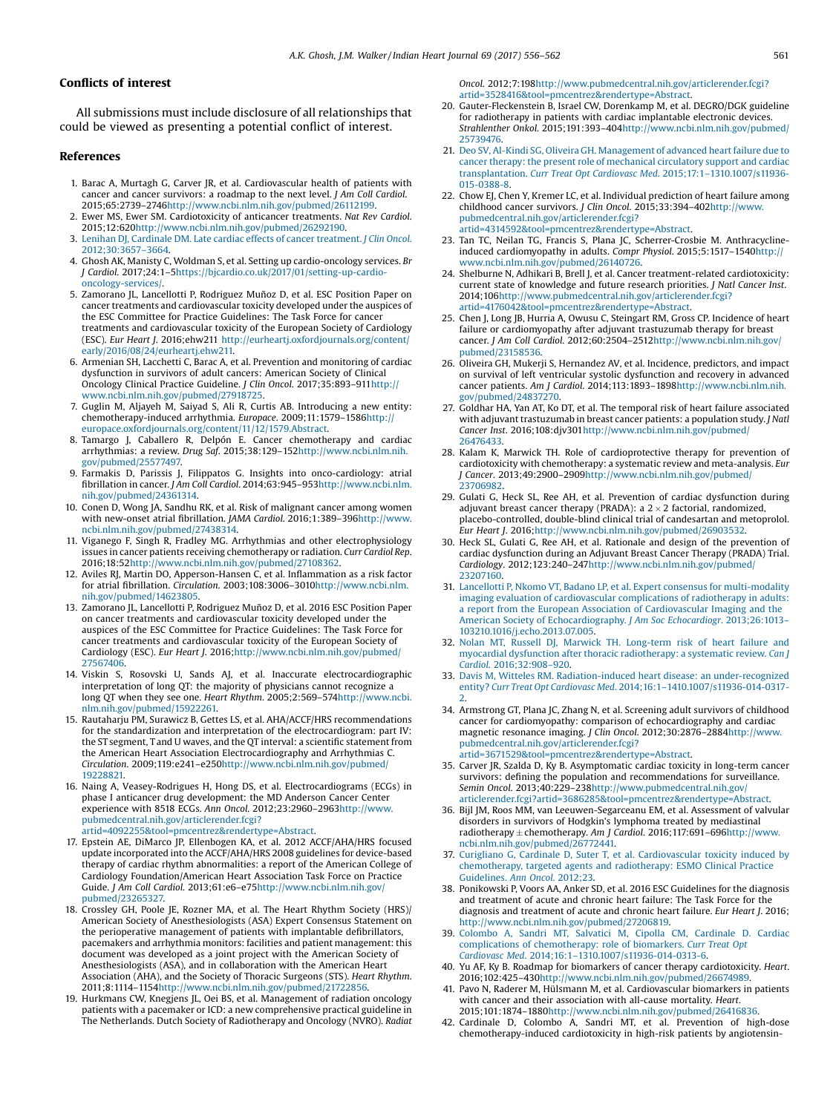#### <span id="page-5-0"></span>Conflicts of interest

All submissions must include disclosure of all relationships that could be viewed as presenting a potential conflict of interest.

#### References

- 1. Barac A, Murtagh G, Carver JR, et al. Cardiovascular health of patients with cancer and cancer survivors: a roadmap to the next level. J Am Coll Cardiol. 2015;65:2739–274[6http://www.ncbi.nlm.nih.gov/pubmed/26112199.](http://www.ncbi.nlm.nih.gov/pubmed/26112199)
- 2. Ewer MS, Ewer SM. Cardiotoxicity of anticancer treatments. Nat Rev Cardiol. 2015;12:620[http://www.ncbi.nlm.nih.gov/pubmed/26292190.](http://www.ncbi.nlm.nih.gov/pubmed/26292190)
- 3. [Lenihan DJ, Cardinale DM. Late cardiac effects of cancer treatment.](http://refhub.elsevier.com/S0019-4832(16)30378-9/sbref0015) J Clin Oncol. [2012;30:3657](http://refhub.elsevier.com/S0019-4832(16)30378-9/sbref0015)–3664.
- 4. Ghosh AK, Manisty C, Woldman S, et al. Setting up cardio-oncology services. Br J Cardiol. 2017;24:1–[5https://bjcardio.co.uk/2017/01/setting-up-cardio](https://bjcardio.co.uk/2017/01/setting-up-cardio-oncology-services/)[oncology-services/](https://bjcardio.co.uk/2017/01/setting-up-cardio-oncology-services/).
- 5. Zamorano JL, Lancellotti P, Rodriguez Muñoz D, et al. ESC Position Paper on cancer treatments and cardiovascular toxicity developed under the auspices of the ESC Committee for Practice Guidelines: The Task Force for cancer treatments and cardiovascular toxicity of the European Society of Cardiology (ESC). Eur Heart J. 2016;ehw211 [http://eurheartj.oxfordjournals.org/content/](http://eurheartj.oxfordjournals.org/content/early/2016/08/24/eurheartj.ehw211) [early/2016/08/24/eurheartj.ehw211.](http://eurheartj.oxfordjournals.org/content/early/2016/08/24/eurheartj.ehw211)
- 6. Armenian SH, Lacchetti C, Barac A, et al. Prevention and monitoring of cardiac dysfunction in survivors of adult cancers: American Society of Clinical Oncology Clinical Practice Guideline. J Clin Oncol. 2017;35:893–91[1http://](http://www.ncbi.nlm.nih.gov/pubmed/27918725) [www.ncbi.nlm.nih.gov/pubmed/27918725](http://www.ncbi.nlm.nih.gov/pubmed/27918725).
- 7. Guglin M, Aljayeh M, Saiyad S, Ali R, Curtis AB. Introducing a new entity: chemotherapy-induced arrhythmia. Europace. 2009;11:1579–158[6http://](http://europace.oxfordjournals.org/content/11/12/1579.Abstract) [europace.oxfordjournals.org/content/11/12/1579.Abstract](http://europace.oxfordjournals.org/content/11/12/1579.Abstract).
- 8. Tamargo J, Caballero R, Delpón E. Cancer chemotherapy and cardiac arrhythmias: a review. Drug Saf. 2015;38:129–152[http://www.ncbi.nlm.nih.](http://www.ncbi.nlm.nih.gov/pubmed/25577497) [gov/pubmed/25577497.](http://www.ncbi.nlm.nih.gov/pubmed/25577497)
- 9. Farmakis D, Parissis J, Filippatos G. Insights into onco-cardiology: atrial fibrillation in cancer. J Am Coll Cardiol. 2014;63:945–95[3http://www.ncbi.nlm.](http://www.ncbi.nlm.nih.gov/pubmed/24361314) [nih.gov/pubmed/24361314](http://www.ncbi.nlm.nih.gov/pubmed/24361314).
- 10. Conen D, Wong JA, Sandhu RK, et al. Risk of malignant cancer among women with new-onset atrial fibrillation. JAMA Cardiol. 2016;1:389–39[6http://www.](http://www.ncbi.nlm.nih.gov/pubmed/27438314) [ncbi.nlm.nih.gov/pubmed/27438314](http://www.ncbi.nlm.nih.gov/pubmed/27438314).
- 11. Viganego F, Singh R, Fradley MG. Arrhythmias and other electrophysiology issues in cancer patients receiving chemotherapy or radiation. Curr Cardiol Rep. 2016;18:52[http://www.ncbi.nlm.nih.gov/pubmed/27108362.](http://www.ncbi.nlm.nih.gov/pubmed/27108362)
- 12. Aviles RJ, Martin DO, Apperson-Hansen C, et al. Inflammation as a risk factor for atrial fibrillation. Circulation. 2003;108:3006–3010[http://www.ncbi.nlm.](http://www.ncbi.nlm.nih.gov/pubmed/14623805) [nih.gov/pubmed/14623805](http://www.ncbi.nlm.nih.gov/pubmed/14623805).
- 13. Zamorano JL, Lancellotti P, Rodriguez Muñoz D, et al. 2016 ESC Position Paper on cancer treatments and cardiovascular toxicity developed under the auspices of the ESC Committee for Practice Guidelines: The Task Force for cancer treatments and cardiovascular toxicity of the European Society of Cardiology (ESC). Eur Heart J. 2016;[http://www.ncbi.nlm.nih.gov/pubmed/](http://www.ncbi.nlm.nih.gov/pubmed/27567406) [27567406](http://www.ncbi.nlm.nih.gov/pubmed/27567406).
- 14. Viskin S, Rosovski U, Sands AJ, et al. Inaccurate electrocardiographic interpretation of long QT: the majority of physicians cannot recognize a long QT when they see one. Heart Rhythm. 2005;2:569–574[http://www.ncbi.](http://www.ncbi.nlm.nih.gov/pubmed/15922261) [nlm.nih.gov/pubmed/15922261.](http://www.ncbi.nlm.nih.gov/pubmed/15922261)
- 15. Rautaharju PM, Surawicz B, Gettes LS, et al. AHA/ACCF/HRS recommendations for the standardization and interpretation of the electrocardiogram: part IV: the ST segment, T and U waves, and the QT interval: a scientific statement from the American Heart Association Electrocardiography and Arrhythmias C. Circulation. 2009;119:e241–e25[0http://www.ncbi.nlm.nih.gov/pubmed/](http://www.ncbi.nlm.nih.gov/pubmed/19228821) [19228821.](http://www.ncbi.nlm.nih.gov/pubmed/19228821)
- 16. Naing A, Veasey-Rodrigues H, Hong DS, et al. Electrocardiograms (ECGs) in phase I anticancer drug development: the MD Anderson Cancer Center experience with 8518 ECGs. Ann Oncol. 2012;23:2960–2963[http://www.](http://www.pubmedcentral.nih.gov/articlerender.fcgi?artid=4092255%26tool=pmcentrez%26rendertype=Abstract) [pubmedcentral.nih.gov/articlerender.fcgi?](http://www.pubmedcentral.nih.gov/articlerender.fcgi?artid=4092255%26tool=pmcentrez%26rendertype=Abstract) [artid=4092255&tool=pmcentrez&rendertype=Abstract.](http://www.pubmedcentral.nih.gov/articlerender.fcgi?artid=4092255%26tool=pmcentrez%26rendertype=Abstract)
- 17. Epstein AE, DiMarco JP, Ellenbogen KA, et al. 2012 ACCF/AHA/HRS focused update incorporated into the ACCF/AHA/HRS 2008 guidelines for device-based therapy of cardiac rhythm abnormalities: a report of the American College of Cardiology Foundation/American Heart Association Task Force on Practice Guide. J Am Coll Cardiol. 2013;61:e6–e7[5http://www.ncbi.nlm.nih.gov/](http://www.ncbi.nlm.nih.gov/pubmed/23265327) [pubmed/23265327.](http://www.ncbi.nlm.nih.gov/pubmed/23265327)
- 18. Crossley GH, Poole JE, Rozner MA, et al. The Heart Rhythm Society (HRS)/ American Society of Anesthesiologists (ASA) Expert Consensus Statement on the perioperative management of patients with implantable defibrillators, pacemakers and arrhythmia monitors: facilities and patient management: this document was developed as a joint project with the American Society of Anesthesiologists (ASA), and in collaboration with the American Heart Association (AHA), and the Society of Thoracic Surgeons (STS). Heart Rhythm. 2011;8:1114–1154[http://www.ncbi.nlm.nih.gov/pubmed/21722856.](http://www.ncbi.nlm.nih.gov/pubmed/21722856)
- 19. Hurkmans CW, Knegjens JL, Oei BS, et al. Management of radiation oncology patients with a pacemaker or ICD: a new comprehensive practical guideline in The Netherlands. Dutch Society of Radiotherapy and Oncology (NVRO). Radiat

Oncol. 2012;7:198[http://www.pubmedcentral.nih.gov/articlerender.fcgi?](http://www.pubmedcentral.nih.gov/articlerender.fcgi?artid=3528416%26tool=pmcentrez%26rendertype=Abstract) [artid=3528416&tool=pmcentrez&rendertype=Abstract.](http://www.pubmedcentral.nih.gov/articlerender.fcgi?artid=3528416%26tool=pmcentrez%26rendertype=Abstract)

- 20. Gauter-Fleckenstein B, Israel CW, Dorenkamp M, et al. DEGRO/DGK guideline for radiotherapy in patients with cardiac implantable electronic devices. Strahlenther Onkol. 2015;191:393–404[http://www.ncbi.nlm.nih.gov/pubmed/](http://www.ncbi.nlm.nih.gov/pubmed/25739476) [25739476](http://www.ncbi.nlm.nih.gov/pubmed/25739476).
- 21. [Deo SV, Al-Kindi SG, Oliveira GH. Management of advanced heart failure due to](http://refhub.elsevier.com/S0019-4832(16)30378-9/sbref0105) [cancer therapy: the present role of mechanical circulatory support and cardiac](http://refhub.elsevier.com/S0019-4832(16)30378-9/sbref0105) transplantation. [Curr Treat Opt Cardiovasc Med](http://refhub.elsevier.com/S0019-4832(16)30378-9/sbref0105). 2015;17:1–1310.1007/s11936- [015-0388-8.](http://refhub.elsevier.com/S0019-4832(16)30378-9/sbref0105)
- 22. Chow EJ, Chen Y, Kremer LC, et al. Individual prediction of heart failure among childhood cancer survivors. J Clin Oncol. 2015;33:394–40[2http://www.](http://www.pubmedcentral.nih.gov/articlerender.fcgi?artid=4314592%26tool=pmcentrez%26rendertype=Abstract) [pubmedcentral.nih.gov/articlerender.fcgi?](http://www.pubmedcentral.nih.gov/articlerender.fcgi?artid=4314592%26tool=pmcentrez%26rendertype=Abstract) [artid=4314592&tool=pmcentrez&rendertype=Abstract](http://www.pubmedcentral.nih.gov/articlerender.fcgi?artid=4314592%26tool=pmcentrez%26rendertype=Abstract).
- 23. Tan TC, Neilan TG, Francis S, Plana JC, Scherrer-Crosbie M. Anthracyclineinduced cardiomyopathy in adults. Compr Physiol. 2015;5:1517–154[0http://](http://www.ncbi.nlm.nih.gov/pubmed/26140726) [www.ncbi.nlm.nih.gov/pubmed/26140726](http://www.ncbi.nlm.nih.gov/pubmed/26140726).
- 24. Shelburne N, Adhikari B, Brell J, et al. Cancer treatment-related cardiotoxicity: current state of knowledge and future research priorities. J Natl Cancer Inst. 2014;106[http://www.pubmedcentral.nih.gov/articlerender.fcgi?](http://www.pubmedcentral.nih.gov/articlerender.fcgi?artid=4176042%26tool=pmcentrez%26rendertype=Abstract) [artid=4176042&tool=pmcentrez&rendertype=Abstract.](http://www.pubmedcentral.nih.gov/articlerender.fcgi?artid=4176042%26tool=pmcentrez%26rendertype=Abstract)
- 25. Chen J, Long JB, Hurria A, Owusu C, Steingart RM, Gross CP. Incidence of heart failure or cardiomyopathy after adjuvant trastuzumab therapy for breast cancer. J Am Coll Cardiol. 2012;60:2504–2512[http://www.ncbi.nlm.nih.gov/](http://www.ncbi.nlm.nih.gov/pubmed/23158536) [pubmed/23158536](http://www.ncbi.nlm.nih.gov/pubmed/23158536).
- 26. Oliveira GH, Mukerji S, Hernandez AV, et al. Incidence, predictors, and impact on survival of left ventricular systolic dysfunction and recovery in advanced cancer patients. Am J Cardiol. 2014;113:1893–189[8http://www.ncbi.nlm.nih.](http://www.ncbi.nlm.nih.gov/pubmed/24837270) [gov/pubmed/24837270](http://www.ncbi.nlm.nih.gov/pubmed/24837270).
- 27. Goldhar HA, Yan AT, Ko DT, et al. The temporal risk of heart failure associated with adjuvant trastuzumab in breast cancer patients: a population study. J Natl Cancer Inst. 2016;108:djv30[1http://www.ncbi.nlm.nih.gov/pubmed/](http://www.ncbi.nlm.nih.gov/pubmed/26476433) [26476433.](http://www.ncbi.nlm.nih.gov/pubmed/26476433)
- 28. Kalam K, Marwick TH. Role of cardioprotective therapy for prevention of cardiotoxicity with chemotherapy: a systematic review and meta-analysis. Eur J Cancer. 2013;49:2900–290[9http://www.ncbi.nlm.nih.gov/pubmed/](http://www.ncbi.nlm.nih.gov/pubmed/23706982) [23706982.](http://www.ncbi.nlm.nih.gov/pubmed/23706982)
- 29. Gulati G, Heck SL, Ree AH, et al. Prevention of cardiac dysfunction during adjuvant breast cancer therapy (PRADA): a  $2 \times 2$  factorial, randomized, placebo-controlled, double-blind clinical trial of candesartan and metoprolol. Eur Heart J. 2016[;http://www.ncbi.nlm.nih.gov/pubmed/26903532.](http://www.ncbi.nlm.nih.gov/pubmed/26903532)
- 30. Heck SL, Gulati G, Ree AH, et al. Rationale and design of the prevention of cardiac dysfunction during an Adjuvant Breast Cancer Therapy (PRADA) Trial. Cardiology. 2012;123:240–24[7http://www.ncbi.nlm.nih.gov/pubmed/](http://www.ncbi.nlm.nih.gov/pubmed/23207160) [23207160](http://www.ncbi.nlm.nih.gov/pubmed/23207160).
- 31. [Lancellotti P, Nkomo VT, Badano LP, et al. Expert consensus for multi-modality](http://refhub.elsevier.com/S0019-4832(16)30378-9/sbref0155) [imaging evaluation of cardiovascular complications of radiotherapy in adults:](http://refhub.elsevier.com/S0019-4832(16)30378-9/sbref0155) [a report from the European Association of Cardiovascular Imaging and the](http://refhub.elsevier.com/S0019-4832(16)30378-9/sbref0155) [American Society of Echocardiography.](http://refhub.elsevier.com/S0019-4832(16)30378-9/sbref0155) J Am Soc Echocardiogr. 2013;26:1013– [103210.1016/j.echo.2013.07.005](http://refhub.elsevier.com/S0019-4832(16)30378-9/sbref0155).
- 32. [Nolan MT, Russell DJ, Marwick TH. Long-term risk of heart failure and](http://refhub.elsevier.com/S0019-4832(16)30378-9/sbref0160) [myocardial dysfunction after thoracic radiotherapy: a systematic review.](http://refhub.elsevier.com/S0019-4832(16)30378-9/sbref0160) Can J Cardiol[. 2016;32:908](http://refhub.elsevier.com/S0019-4832(16)30378-9/sbref0160)–920.
- 33. [Davis M, Witteles RM. Radiation-induced heart disease: an under-recognized](http://refhub.elsevier.com/S0019-4832(16)30378-9/sbref0165) entity? [Curr Treat Opt Cardiovasc Med](http://refhub.elsevier.com/S0019-4832(16)30378-9/sbref0165). 2014;16:1–1410.1007/s11936-014-0317-  $\overline{2}$  $\overline{2}$  $\overline{2}$
- 34. Armstrong GT, Plana JC, Zhang N, et al. Screening adult survivors of childhood cancer for cardiomyopathy: comparison of echocardiography and cardiac magnetic resonance imaging. J Clin Oncol. 2012;30:2876–288[4http://www.](http://www.pubmedcentral.nih.gov/articlerender.fcgi?artid=3671529%26tool=pmcentrez%26rendertype=Abstract) [pubmedcentral.nih.gov/articlerender.fcgi?](http://www.pubmedcentral.nih.gov/articlerender.fcgi?artid=3671529%26tool=pmcentrez%26rendertype=Abstract) [artid=3671529&tool=pmcentrez&rendertype=Abstract](http://www.pubmedcentral.nih.gov/articlerender.fcgi?artid=3671529%26tool=pmcentrez%26rendertype=Abstract).
- 35. Carver JR, Szalda D, Ky B. Asymptomatic cardiac toxicity in long-term cancer survivors: defining the population and recommendations for surveillance. Semin Oncol. 2013;40:229–238[http://www.pubmedcentral.nih.gov/](http://www.pubmedcentral.nih.gov/articlerender.fcgi?artid=3686285%26tool=pmcentrez%26rendertype=Abstract) [articlerender.fcgi?artid=3686285&tool=pmcentrez&rendertype=Abstract](http://www.pubmedcentral.nih.gov/articlerender.fcgi?artid=3686285%26tool=pmcentrez%26rendertype=Abstract).
- 36. Bijl JM, Roos MM, van Leeuwen-Segarceanu EM, et al. Assessment of valvular disorders in survivors of Hodgkin's lymphoma treated by mediastinal radiotherapy  $\pm$  chemotherapy. Am J Cardiol. 2016;117:691-696[http://www.](http://www.ncbi.nlm.nih.gov/pubmed/26772441) [ncbi.nlm.nih.gov/pubmed/26772441.](http://www.ncbi.nlm.nih.gov/pubmed/26772441)
- 37. [Curigliano G, Cardinale D, Suter T, et al. Cardiovascular toxicity induced by](http://refhub.elsevier.com/S0019-4832(16)30378-9/sbref0185) [chemotherapy, targeted agents and radiotherapy: ESMO Clinical Practice](http://refhub.elsevier.com/S0019-4832(16)30378-9/sbref0185) [Guidelines.](http://refhub.elsevier.com/S0019-4832(16)30378-9/sbref0185) Ann Oncol. 2012;23.
- 38. Ponikowski P, Voors AA, Anker SD, et al. 2016 ESC Guidelines for the diagnosis and treatment of acute and chronic heart failure: The Task Force for the diagnosis and treatment of acute and chronic heart failure. Eur Heart J. 2016; [http://www.ncbi.nlm.nih.gov/pubmed/27206819.](http://www.ncbi.nlm.nih.gov/pubmed/27206819)
- 39. [Colombo A, Sandri MT, Salvatici M, Cipolla CM, Cardinale D. Cardiac](http://refhub.elsevier.com/S0019-4832(16)30378-9/sbref0195) [complications of chemotherapy: role of biomarkers.](http://refhub.elsevier.com/S0019-4832(16)30378-9/sbref0195) Curr Treat Opt Cardiovasc Med. 2014;16:1–[1310.1007/s11936-014-0313-6](http://refhub.elsevier.com/S0019-4832(16)30378-9/sbref0195).
- 40. Yu AF, Ky B. Roadmap for biomarkers of cancer therapy cardiotoxicity. Heart. 2016;102:425–430[http://www.ncbi.nlm.nih.gov/pubmed/26674989.](http://www.ncbi.nlm.nih.gov/pubmed/26674989)
- 41. Pavo N, Raderer M, Hülsmann M, et al. Cardiovascular biomarkers in patients with cancer and their association with all-cause mortality. Heart. 2015;101:1874–1880[http://www.ncbi.nlm.nih.gov/pubmed/26416836.](http://www.ncbi.nlm.nih.gov/pubmed/26416836)
- 42. Cardinale D, Colombo A, Sandri MT, et al. Prevention of high-dose chemotherapy-induced cardiotoxicity in high-risk patients by angiotensin-